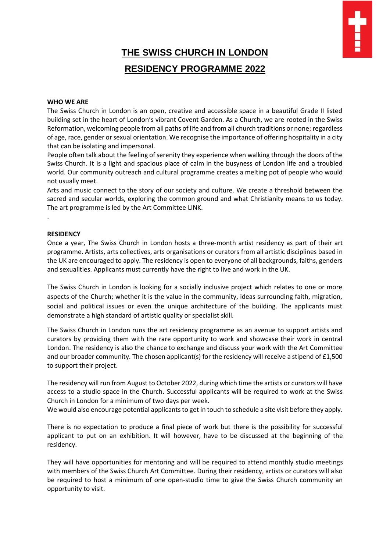# **THE SWISS CHURCH IN LONDON RESIDENCY PROGRAMME 2022**

### **WHO WE ARE**

The Swiss Church in London is an open, creative and accessible space in a beautiful Grade II listed building set in the heart of London's vibrant Covent Garden. As a Church, we are rooted in the Swiss Reformation, welcoming people from all paths of life and from all church traditions or none; regardless of age, race, gender or sexual orientation. We recognise the importance of offering hospitality in a city that can be isolating and impersonal.

People often talk about the feeling of serenity they experience when walking through the doors of the Swiss Church. It is a light and spacious place of calm in the busyness of London life and a troubled world. Our community outreach and cultural programme creates a melting pot of people who would not usually meet.

Arts and music connect to the story of our society and culture. We create a threshold between the sacred and secular worlds, exploring the common ground and what Christianity means to us today. The art programme is led by the Art Committee [LINK.](https://swisschurchlondon.org.uk/art/art-committee/)

#### **RESIDENCY**

.

Once a year, The Swiss Church in London hosts a three-month artist residency as part of their art programme. Artists, arts collectives, arts organisations or curators from all artistic disciplines based in the UK are encouraged to apply. The residency is open to everyone of all backgrounds, faiths, genders and sexualities. Applicants must currently have the right to live and work in the UK.

The Swiss Church in London is looking for a socially inclusive project which relates to one or more aspects of the Church; whether it is the value in the community, ideas surrounding faith, migration, social and political issues or even the unique architecture of the building. The applicants must demonstrate a high standard of artistic quality or specialist skill.

The Swiss Church in London runs the art residency programme as an avenue to support artists and curators by providing them with the rare opportunity to work and showcase their work in central London. The residency is also the chance to exchange and discuss your work with the Art Committee and our broader community. The chosen applicant(s) for the residency will receive a stipend of £1,500 to support their project.

The residency will run from August to October 2022, during which time the artists or curators will have access to a studio space in the Church. Successful applicants will be required to work at the Swiss Church in London for a minimum of two days per week.

We would also encourage potential applicants to get in touch to schedule a site visit before they apply.

There is no expectation to produce a final piece of work but there is the possibility for successful applicant to put on an exhibition. It will however, have to be discussed at the beginning of the residency.

They will have opportunities for mentoring and will be required to attend monthly studio meetings with members of the Swiss Church Art Committee. During their residency, artists or curators will also be required to host a minimum of one open-studio time to give the Swiss Church community an opportunity to visit.